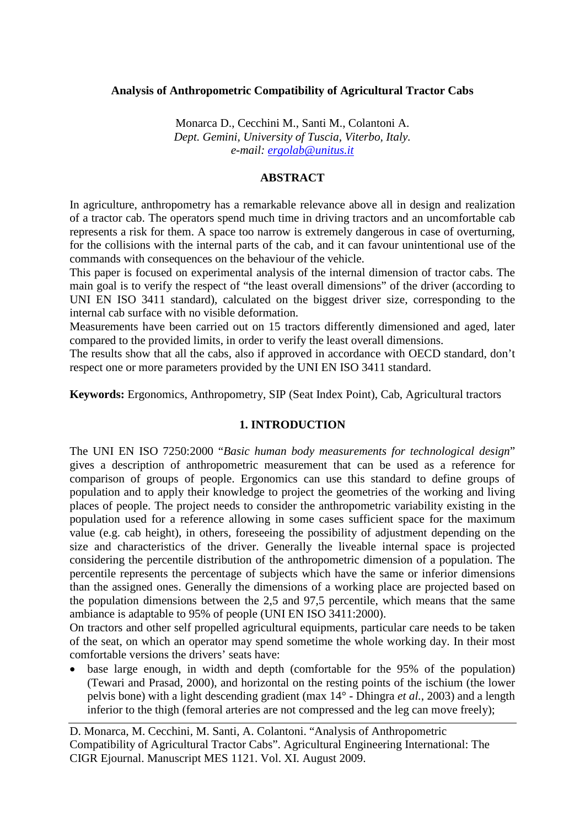### **Analysis of Anthropometric Compatibility of Agricultural Tractor Cabs**

Monarca D., Cecchini M., Santi M., Colantoni A. *Dept. Gemini, University of Tuscia, Viterbo, Italy. e-mail: [ergolab@unitus.it](mailto:ergolab@unitus.it)*

## **ABSTRACT**

In agriculture, anthropometry has a remarkable relevance above all in design and realization of a tractor cab. The operators spend much time in driving tractors and an uncomfortable cab represents a risk for them. A space too narrow is extremely dangerous in case of overturning, for the collisions with the internal parts of the cab, and it can favour unintentional use of the commands with consequences on the behaviour of the vehicle.

This paper is focused on experimental analysis of the internal dimension of tractor cabs. The main goal is to verify the respect of "the least overall dimensions" of the driver (according to UNI EN ISO 3411 standard), calculated on the biggest driver size, corresponding to the internal cab surface with no visible deformation.

Measurements have been carried out on 15 tractors differently dimensioned and aged, later compared to the provided limits, in order to verify the least overall dimensions.

The results show that all the cabs, also if approved in accordance with OECD standard, don't respect one or more parameters provided by the UNI EN ISO 3411 standard.

**Keywords:** Ergonomics, Anthropometry, SIP (Seat Index Point), Cab, Agricultural tractors

## **1. INTRODUCTION**

The UNI EN ISO 7250:2000 "*Basic human body measurements for technological design*" gives a description of anthropometric measurement that can be used as a reference for comparison of groups of people. Ergonomics can use this standard to define groups of population and to apply their knowledge to project the geometries of the working and living places of people. The project needs to consider the anthropometric variability existing in the population used for a reference allowing in some cases sufficient space for the maximum value (e.g. cab height), in others, foreseeing the possibility of adjustment depending on the size and characteristics of the driver. Generally the liveable internal space is projected considering the percentile distribution of the anthropometric dimension of a population. The percentile represents the percentage of subjects which have the same or inferior dimensions than the assigned ones. Generally the dimensions of a working place are projected based on the population dimensions between the 2,5 and 97,5 percentile, which means that the same ambiance is adaptable to 95% of people (UNI EN ISO 3411:2000).

On tractors and other self propelled agricultural equipments, particular care needs to be taken of the seat, on which an operator may spend sometime the whole working day. In their most comfortable versions the drivers' seats have:

base large enough, in width and depth (comfortable for the 95% of the population) (Tewari and Prasad, 2000), and horizontal on the resting points of the ischium (the lower pelvis bone) with a light descending gradient (max 14° - Dhingra *et al.*, 2003) and a length inferior to the thigh (femoral arteries are not compressed and the leg can move freely);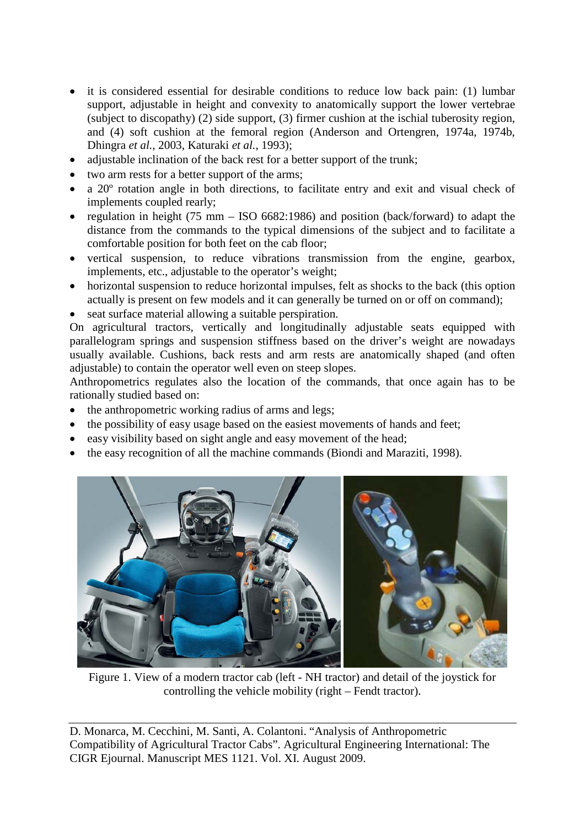- it is considered essential for desirable conditions to reduce low back pain: (1) lumbar support, adjustable in height and convexity to anatomically support the lower vertebrae (subject to discopathy) (2) side support, (3) firmer cushion at the ischial tuberosity region, and (4) soft cushion at the femoral region (Anderson and Ortengren, 1974a, 1974b, Dhingra *et al.*, 2003, Katuraki *et al.*, 1993);
- adjustable inclination of the back rest for a better support of the trunk:
- two arm rests for a better support of the arms;
- a 20º rotation angle in both directions, to facilitate entry and exit and visual check of implements coupled rearly;
- regulation in height  $(75 \text{ mm} \text{ ISO } 6682:1986)$  and position (back/forward) to adapt the distance from the commands to the typical dimensions of the subject and to facilitate a comfortable position for both feet on the cab floor;
- vertical suspension, to reduce vibrations transmission from the engine, gearbox, implements, etc., adjustable to the operator's weight;
- horizontal suspension to reduce horizontal impulses, felt as shocks to the back (this option actually is present on few models and it can generally be turned on or off on command);
- seat surface material allowing a suitable perspiration.

On agricultural tractors, vertically and longitudinally adjustable seats equipped with parallelogram springs and suspension stiffness based on the driver's weight are nowadays usually available. Cushions, back rests and arm rests are anatomically shaped (and often adjustable) to contain the operator well even on steep slopes.

Anthropometrics regulates also the location of the commands, that once again has to be rationally studied based on:

- the anthropometric working radius of arms and legs;
- the possibility of easy usage based on the easiest movements of hands and feet;
- easy visibility based on sight angle and easy movement of the head;
- the easy recognition of all the machine commands (Biondi and Maraziti, 1998).



Figure 1. View of a modern tractor cab (left - NH tractor) and detail of the joystick for controlling the vehicle mobility (right – Fendt tractor).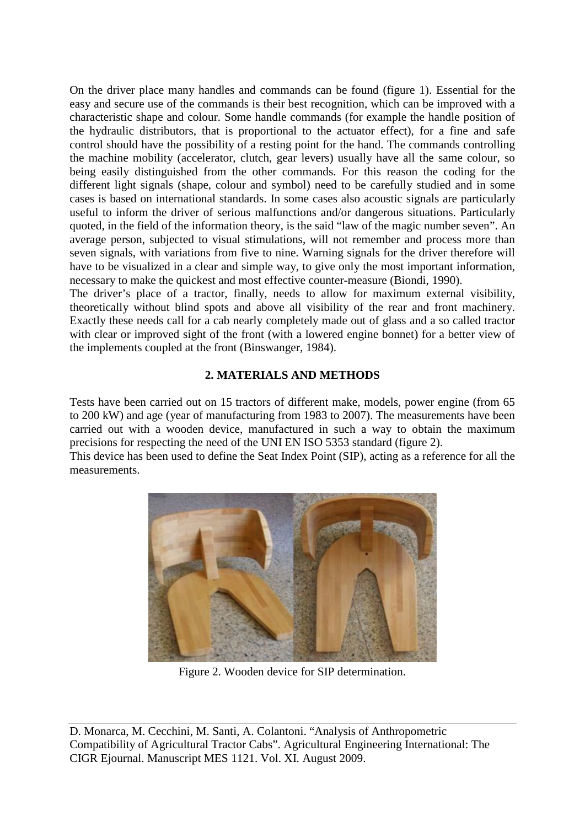On the driver place many handles and commands can be found (figure 1). Essential for the easy and secure use of the commands is their best recognition, which can be improved with a characteristic shape and colour. Some handle commands (for example the handle position of the hydraulic distributors, that is proportional to the actuator effect), for a fine and safe control should have the possibility of a resting point for the hand. The commands controlling the machine mobility (accelerator, clutch, gear levers) usually have all the same colour, so being easily distinguished from the other commands. For this reason the coding for the different light signals (shape, colour and symbol) need to be carefully studied and in some cases is based on international standards. In some cases also acoustic signals are particularly useful to inform the driver of serious malfunctions and/or dangerous situations. Particularly quoted, in the field of the information theory, is the said "law of the magic number seven". An average person, subjected to visual stimulations, will not remember and process more than seven signals, with variations from five to nine. Warning signals for the driver therefore will have to be visualized in a clear and simple way, to give only the most important information, necessary to make the quickest and most effective counter-measure (Biondi, 1990).

The driver's place of a tractor, finally, needs to allow for maximum external visibility, theoretically without blind spots and above all visibility of the rear and front machinery. Exactly these needs call for a cab nearly completely made out of glass and a so called tractor with clear or improved sight of the front (with a lowered engine bonnet) for a better view of the implements coupled at the front (Binswanger, 1984).

## **2. MATERIALS AND METHODS**

Tests have been carried out on 15 tractors of different make, models, power engine (from 65 to 200 kW) and age (year of manufacturing from 1983 to 2007). The measurements have been carried out with a wooden device, manufactured in such a way to obtain the maximum precisions for respecting the need of the UNI EN ISO 5353 standard (figure 2).

This device has been used to define the Seat Index Point (SIP), acting as a reference for all the measurements.



Figure 2. Wooden device for SIP determination.

D. Monarca, M. Cecchini, M. Santi, A. Colantoni. "Analysis of Anthropometric Compatibility of Agricultural Tractor Cabs". Agricultural Engineering International: The CIGR Ejournal. Manuscript MES 1121. Vol. XI. August 2009.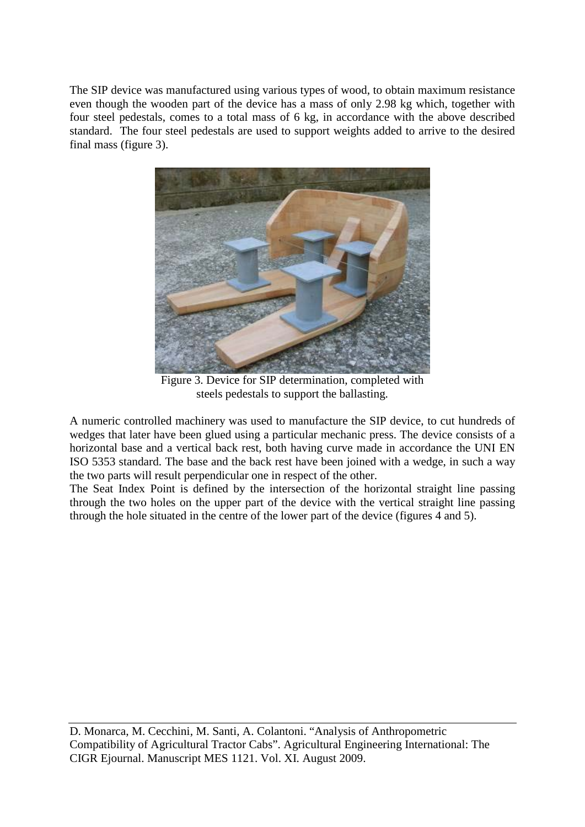The SIP device was manufactured using various types of wood, to obtain maximum resistance even though the wooden part of the device has a mass of only 2.98 kg which, together with four steel pedestals, comes to a total mass of 6 kg, in accordance with the above described standard. The four steel pedestals are used to support weights added to arrive to the desired final mass (figure 3).



Figure 3. Device for SIP determination, completed with steels pedestals to support the ballasting.

A numeric controlled machinery was used to manufacture the SIP device, to cut hundreds of wedges that later have been glued using a particular mechanic press. The device consists of a horizontal base and a vertical back rest, both having curve made in accordance the UNI EN ISO 5353 standard. The base and the back rest have been joined with a wedge, in such a way the two parts will result perpendicular one in respect of the other.

The Seat Index Point is defined by the intersection of the horizontal straight line passing through the two holes on the upper part of the device with the vertical straight line passing through the hole situated in the centre of the lower part of the device (figures 4 and 5).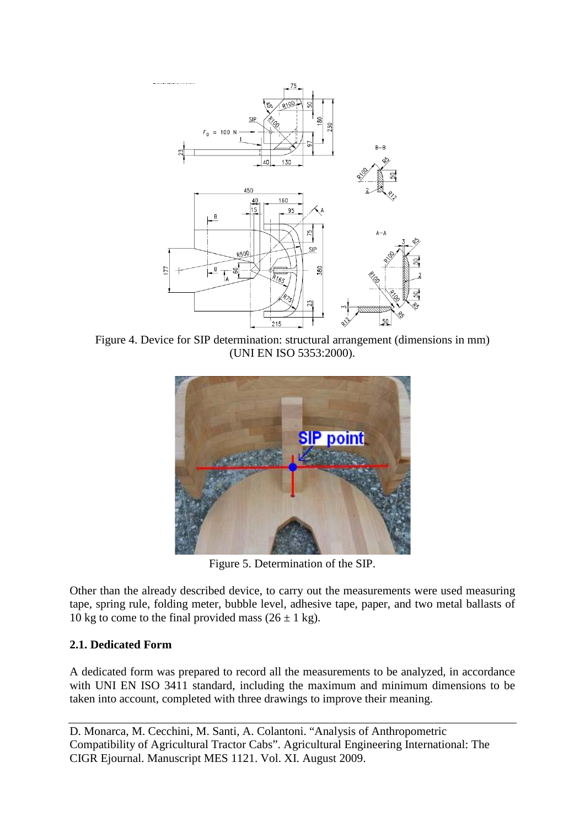

Figure 4. Device for SIP determination: structural arrangement (dimensions in mm) (UNI EN ISO 5353:2000).



Figure 5. Determination of the SIP.

Other than the already described device, to carry out the measurements were used measuring tape, spring rule, folding meter, bubble level, adhesive tape, paper, and two metal ballasts of 10 kg to come to the final provided mass  $(26 \pm 1 \text{ kg})$ .

# **2.1. Dedicated Form**

A dedicated form was prepared to record all the measurements to be analyzed, in accordance with UNI EN ISO 3411 standard, including the maximum and minimum dimensions to be taken into account, completed with three drawings to improve their meaning.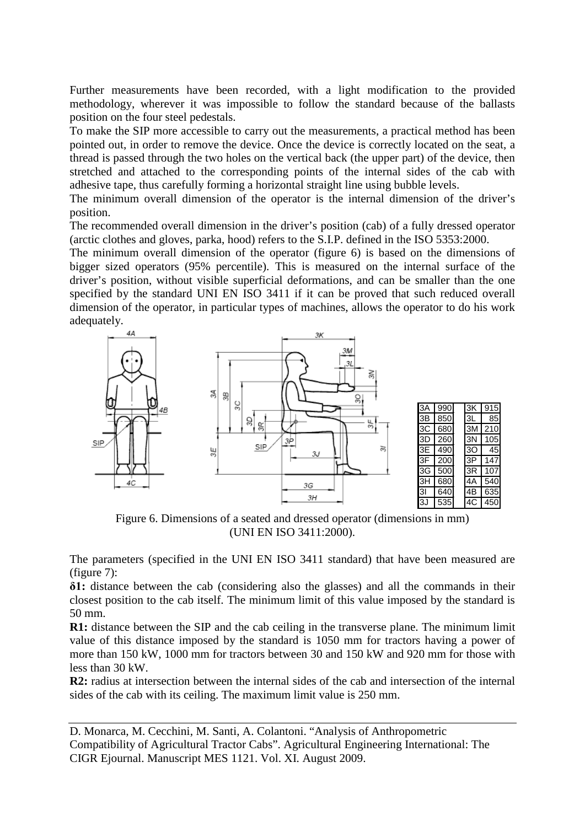Further measurements have been recorded, with a light modification to the provided methodology, wherever it was impossible to follow the standard because of the ballasts position on the four steel pedestals.

To make the SIP more accessible to carry out the measurements, a practical method has been pointed out, in order to remove the device. Once the device is correctly located on the seat, a thread is passed through the two holes on the vertical back (the upper part) of the device, then stretched and attached to the corresponding points of the internal sides of the cab with adhesive tape, thus carefully forming a horizontal straight line using bubble levels.

The minimum overall dimension of the operator is the internal dimension of the driver's position.

The recommended overall dimension in the driver's position (cab) of a fully dressed operator (arctic clothes and gloves, parka, hood) refers to the S.I.P. defined in the ISO 5353:2000.

The minimum overall dimension of the operator (figure 6) is based on the dimensions of bigger sized operators (95% percentile). This is measured on the internal surface of the driver's position, without visible superficial deformations, and can be smaller than the one specified by the standard UNI EN ISO 3411 if it can be proved that such reduced overall dimension of the operator, in particular types of machines, allows the operator to do his work adequately.



Figure 6. Dimensions of a seated and dressed operator (dimensions in mm) (UNI EN ISO 3411:2000).

The parameters (specified in the UNI EN ISO 3411 standard) that have been measured are (figure 7):

**δ1:** distance between the cab (considering also the glasses) and all the commands in their closest position to the cab itself. The minimum limit of this value imposed by the standard is 50 mm.

**R1:** distance between the SIP and the cab ceiling in the transverse plane. The minimum limit value of this distance imposed by the standard is 1050 mm for tractors having a power of more than 150 kW, 1000 mm for tractors between 30 and 150 kW and 920 mm for those with less than 30 kW.

**R2:** radius at intersection between the internal sides of the cab and intersection of the internal sides of the cab with its ceiling. The maximum limit value is 250 mm.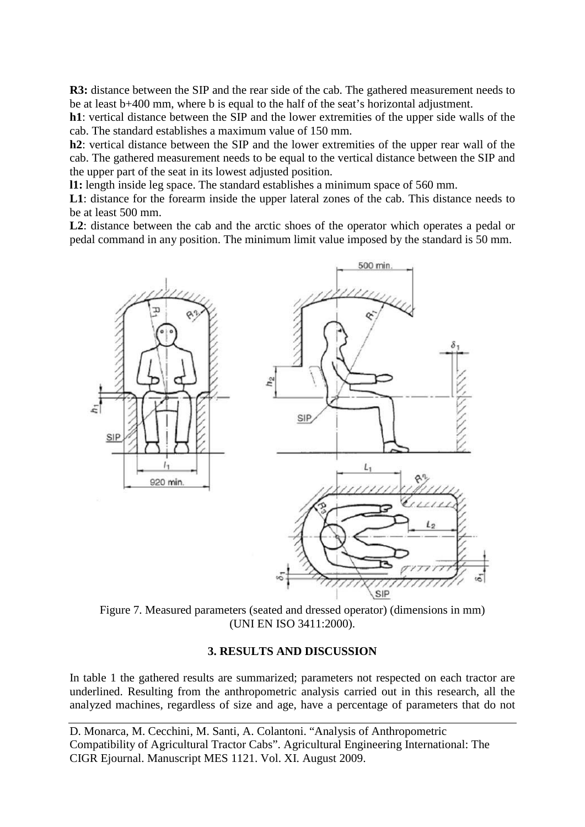**R3:** distance between the SIP and the rear side of the cab. The gathered measurement needs to be at least b+400 mm, where b is equal to the half of the seat's horizontal adjustment.

**h1**: vertical distance between the SIP and the lower extremities of the upper side walls of the cab. The standard establishes a maximum value of 150 mm.

**h2**: vertical distance between the SIP and the lower extremities of the upper rear wall of the cab. The gathered measurement needs to be equal to the vertical distance between the SIP and the upper part of the seat in its lowest adjusted position.

**l1:** length inside leg space. The standard establishes a minimum space of 560 mm.

**L1**: distance for the forearm inside the upper lateral zones of the cab. This distance needs to be at least 500 mm.

L2: distance between the cab and the arctic shoes of the operator which operates a pedal or pedal command in any position. The minimum limit value imposed by the standard is 50 mm.



Figure 7. Measured parameters (seated and dressed operator) (dimensions in mm) (UNI EN ISO 3411:2000).

## **3. RESULTS AND DISCUSSION**

In table 1 the gathered results are summarized; parameters not respected on each tractor are underlined. Resulting from the anthropometric analysis carried out in this research, all the analyzed machines, regardless of size and age, have a percentage of parameters that do not

D. Monarca, M. Cecchini, M. Santi, A. Colantoni. "Analysis of Anthropometric Compatibility of Agricultural Tractor Cabs". Agricultural Engineering International: The CIGR Ejournal. Manuscript MES 1121. Vol. XI. August 2009.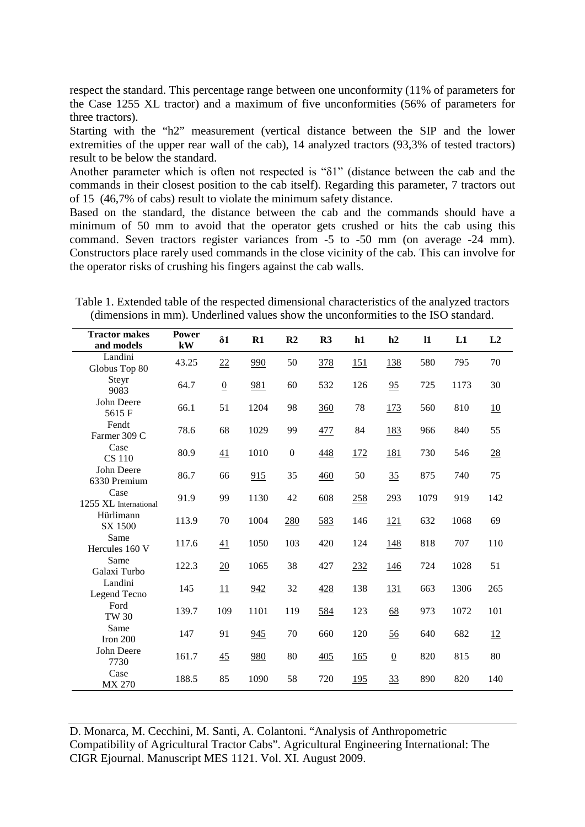respect the standard. This percentage range between one unconformity (11% of parameters for the Case 1255 XL tractor) and a maximum of five unconformities (56% of parameters for three tractors).

Starting with the "h2" measurement (vertical distance between the SIP and the lower extremities of the upper rear wall of the cab), 14 analyzed tractors (93,3% of tested tractors) result to be below the standard.

Another parameter which is often not respected is "δ1" (distance between the cab and the commands in their closest position to the cab itself). Regarding this parameter, 7 tractors out of 15 (46,7% of cabs) result to violate the minimum safety distance.

Based on the standard, the distance between the cab and the commands should have a minimum of 50 mm to avoid that the operator gets crushed or hits the cab using this command. Seven tractors register variances from -5 to -50 mm (on average -24 mm). Constructors place rarely used commands in the close vicinity of the cab. This can involve for the operator risks of crushing his fingers against the cab walls.

Table 1. Extended table of the respected dimensional characteristics of the analyzed tractors (dimensions in mm). Underlined values show the unconformities to the ISO standard.

| <b>Tractor makes</b><br>and models | <b>Power</b><br>kW | $\delta$ 1      | $R1$ | R <sub>2</sub>   | R3  | h1         | h2             | $\mathbf{I}$ | L1   | L2  |
|------------------------------------|--------------------|-----------------|------|------------------|-----|------------|----------------|--------------|------|-----|
| Landini<br>Globus Top 80           | 43.25              | 22              | 990  | 50               | 378 | <u>151</u> | 138            | 580          | 795  | 70  |
| Steyr<br>9083                      | 64.7               | $\underline{0}$ | 981  | 60               | 532 | 126        | 95             | 725          | 1173 | 30  |
| John Deere<br>5615F                | 66.1               | 51              | 1204 | 98               | 360 | 78         | <u>173</u>     | 560          | 810  | 10  |
| Fendt<br>Farmer 309 C              | 78.6               | 68              | 1029 | 99               | 477 | 84         | 183            | 966          | 840  | 55  |
| Case<br><b>CS 110</b>              | 80.9               | 41              | 1010 | $\boldsymbol{0}$ | 448 | 172        | 181            | 730          | 546  | 28  |
| John Deere<br>6330 Premium         | 86.7               | 66              | 915  | 35               | 460 | 50         | 35             | 875          | 740  | 75  |
| Case<br>1255 XL International      | 91.9               | 99              | 1130 | 42               | 608 | 258        | 293            | 1079         | 919  | 142 |
| Hürlimann<br>SX 1500               | 113.9              | 70              | 1004 | 280              | 583 | 146        | 121            | 632          | 1068 | 69  |
| Same<br>Hercules 160 V             | 117.6              | 41              | 1050 | 103              | 420 | 124        | 148            | 818          | 707  | 110 |
| Same<br>Galaxi Turbo               | 122.3              | 20              | 1065 | 38               | 427 | 232        | 146            | 724          | 1028 | 51  |
| Landini<br>Legend Tecno            | 145                | 11              | 942  | 32               | 428 | 138        | 131            | 663          | 1306 | 265 |
| Ford<br><b>TW 30</b>               | 139.7              | 109             | 1101 | 119              | 584 | 123        | 68             | 973          | 1072 | 101 |
| Same<br>Iron 200                   | 147                | 91              | 945  | 70               | 660 | 120        | 56             | 640          | 682  | 12  |
| John Deere<br>7730                 | 161.7              | 45              | 980  | 80               | 405 | 165        | $\overline{0}$ | 820          | 815  | 80  |
| Case<br>MX 270                     | 188.5              | 85              | 1090 | 58               | 720 | 195        | 33             | 890          | 820  | 140 |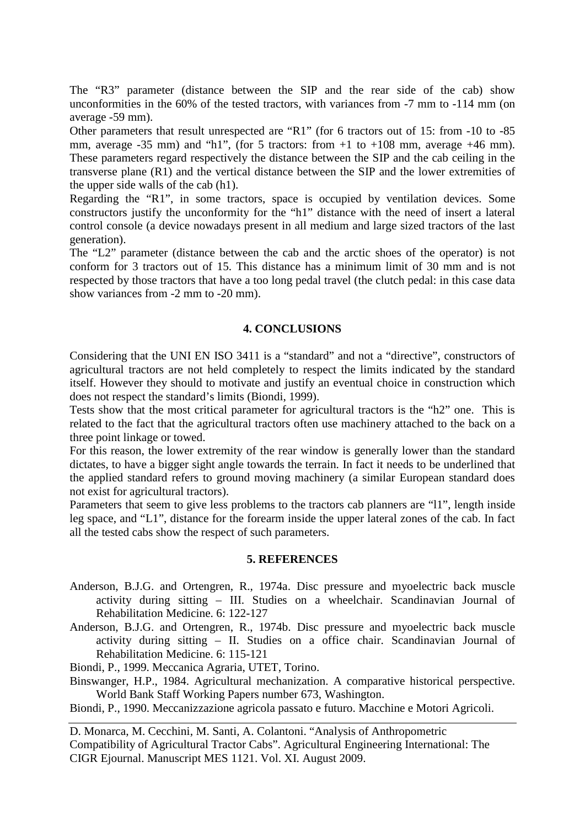The "R3" parameter (distance between the SIP and the rear side of the cab) show unconformities in the 60% of the tested tractors, with variances from -7 mm to -114 mm (on average -59 mm).

Other parameters that result unrespected are "R1" (for 6 tractors out of 15: from -10 to -85 mm, average  $-35$  mm) and "h1", (for 5 tractors: from  $+1$  to  $+108$  mm, average  $+46$  mm). These parameters regard respectively the distance between the SIP and the cab ceiling in the transverse plane (R1) and the vertical distance between the SIP and the lower extremities of the upper side walls of the cab (h1).

Regarding the "R1", in some tractors, space is occupied by ventilation devices. Some constructors justify the unconformity for the "h1" distance with the need of insert a lateral control console (a device nowadays present in all medium and large sized tractors of the last generation).

The "L2" parameter (distance between the cab and the arctic shoes of the operator) is not conform for 3 tractors out of 15. This distance has a minimum limit of 30 mm and is not respected by those tractors that have a too long pedal travel (the clutch pedal: in this case data show variances from -2 mm to -20 mm).

### **4. CONCLUSIONS**

Considering that the UNI EN ISO 3411 is a "standard" and not a "directive", constructors of agricultural tractors are not held completely to respect the limits indicated by the standard itself. However they should to motivate and justify an eventual choice in construction which does not respect the standard's limits (Biondi, 1999).

Tests show that the most critical parameter for agricultural tractors is the "h2" one. This is related to the fact that the agricultural tractors often use machinery attached to the back on a three point linkage or towed.

For this reason, the lower extremity of the rear window is generally lower than the standard dictates, to have a bigger sight angle towards the terrain. In fact it needs to be underlined that the applied standard refers to ground moving machinery (a similar European standard does not exist for agricultural tractors).

Parameters that seem to give less problems to the tractors cab planners are "l1", length inside leg space, and "L1", distance for the forearm inside the upper lateral zones of the cab. In fact all the tested cabs show the respect of such parameters.

#### **5. REFERENCES**

- Anderson, B.J.G. and Ortengren, R., 1974a. Disc pressure and myoelectric back muscle activity during sitting – III. Studies on a wheelchair. Scandinavian Journal of Rehabilitation Medicine. 6: 122-127
- Anderson, B.J.G. and Ortengren, R., 1974b. Disc pressure and myoelectric back muscle activity during sitting – II. Studies on a office chair. Scandinavian Journal of Rehabilitation Medicine. 6: 115-121

Biondi, P., 1999. Meccanica Agraria, UTET, Torino.

Binswanger, H.P., 1984. Agricultural mechanization. A comparative historical perspective. World Bank Staff Working Papers number 673, Washington.

Biondi, P., 1990. Meccanizzazione agricola passato e futuro. Macchine e Motori Agricoli.